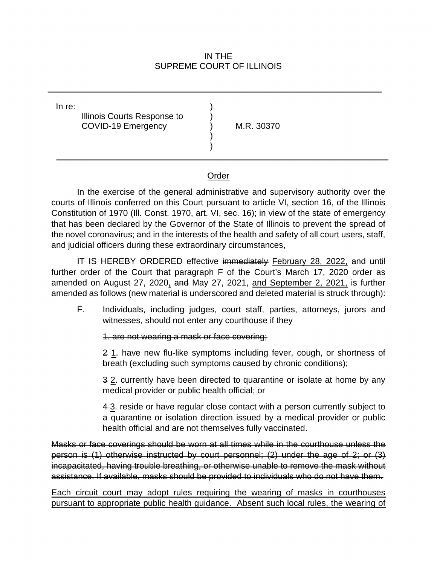## SUPREME COURT OF ILLINOIS IN THE

| In re: | Illinois Courts Response to<br><b>COVID-19 Emergency</b> |  | M.R. 30370 |  |
|--------|----------------------------------------------------------|--|------------|--|
|--------|----------------------------------------------------------|--|------------|--|

## Order

 courts of Illinois conferred on this Court pursuant to article VI, section 16, of the Illinois Constitution of 1970 (Ill. Const. 1970, art. VI, sec. 16); in view of the state of emergency that has been declared by the Governor of the State of Illinois to prevent the spread of the novel coronavirus; and in the interests of the health and safety of all court users, staff, In the exercise of the general administrative and supervisory authority over the and judicial officers during these extraordinary circumstances,

 further order of the Court that paragraph F of the Court's March 17, 2020 order as amended on August 27, 2020, and May 27, 2021, and September 2, 2021, is further IT IS HEREBY ORDERED effective immediately February 28, 2022, and until amended as follows (new material is underscored and deleted material is struck through):

 witnesses, should not enter any courthouse if they F. Individuals, including judges, court staff, parties, attorneys, jurors and

## 1. are not wearing a mask or face covering;

2 1. have new flu-like symptoms including fever, cough, or shortness of breath (excluding such symptoms caused by chronic conditions);

3 2. currently have been directed to quarantine or isolate at home by any medical provider or public health official; or

4.3. reside or have regular close contact with a person currently subject to a quarantine or isolation direction issued by a medical provider or public health official and are not themselves fully vaccinated.

 Masks or face coverings should be worn at all times while in the courthouse unless the person is (1) otherwise instructed by court personnel; (2) under the age of 2; or (3) assistance. If available, masks should be provided to individuals who do not have them. incapacitated, having trouble breathing, or otherwise unable to remove the mask without

assistance. If available, masks should be provided to individuals who do not have them.<br>Each circuit court may adopt rules requiring the wearing of masks in courthouses pursuant to appropriate public health guidance. Absent such local rules, the wearing of